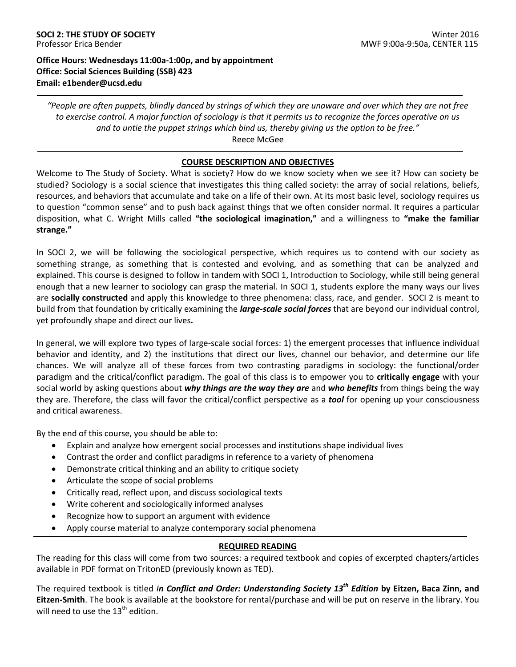## **Office Hours: Wednesdays 11:00a-1:00p, and by appointment Office: Social Sciences Building (SSB) 423 Email: e1bender@ucsd.edu**

*"People are often puppets, blindly danced by strings of which they are unaware and over which they are not free to exercise control. A major function of sociology is that it permits us to recognize the forces operative on us and to untie the puppet strings which bind us, thereby giving us the option to be free."* Reece McGee

## **COURSE DESCRIPTION AND OBJECTIVES**

Welcome to The Study of Society. What is society? How do we know society when we see it? How can society be studied? Sociology is a social science that investigates this thing called society: the array of social relations, beliefs, resources, and behaviors that accumulate and take on a life of their own. At its most basic level, sociology requires us to question "common sense" and to push back against things that we often consider normal. It requires a particular disposition, what C. Wright Mills called **"the sociological imagination,"** and a willingness to **"make the familiar strange."**

In SOCI 2, we will be following the sociological perspective, which requires us to contend with our society as something strange, as something that is contested and evolving, and as something that can be analyzed and explained. This course is designed to follow in tandem with SOCI 1, Introduction to Sociology, while still being general enough that a new learner to sociology can grasp the material. In SOCI 1, students explore the many ways our lives are **socially constructed** and apply this knowledge to three phenomena: class, race, and gender. SOCI 2 is meant to build from that foundation by critically examining the *large-scale social forces* that are beyond our individual control, yet profoundly shape and direct our lives**.** 

In general, we will explore two types of large-scale social forces: 1) the emergent processes that influence individual behavior and identity, and 2) the institutions that direct our lives, channel our behavior, and determine our life chances. We will analyze all of these forces from two contrasting paradigms in sociology: the functional/order paradigm and the critical/conflict paradigm. The goal of this class is to empower you to **critically engage** with your social world by asking questions about *why things are the way they are* and *who benefits* from things being the way they are. Therefore, the class will favor the critical/conflict perspective as a *tool* for opening up your consciousness and critical awareness.

By the end of this course, you should be able to:

- Explain and analyze how emergent social processes and institutions shape individual lives
- Contrast the order and conflict paradigms in reference to a variety of phenomena
- Demonstrate critical thinking and an ability to critique society
- Articulate the scope of social problems
- Critically read, reflect upon, and discuss sociological texts
- Write coherent and sociologically informed analyses
- Recognize how to support an argument with evidence
- Apply course material to analyze contemporary social phenomena

## **REQUIRED READING**

The reading for this class will come from two sources: a required textbook and copies of excerpted chapters/articles available in PDF format on TritonED (previously known as TED).

The required textbook is titled *In Conflict and Order: Understanding Society 13th Edition* **by Eitzen, Baca Zinn, and Eitzen-Smith**. The book is available at the bookstore for rental/purchase and will be put on reserve in the library. You will need to use the  $13<sup>th</sup>$  edition.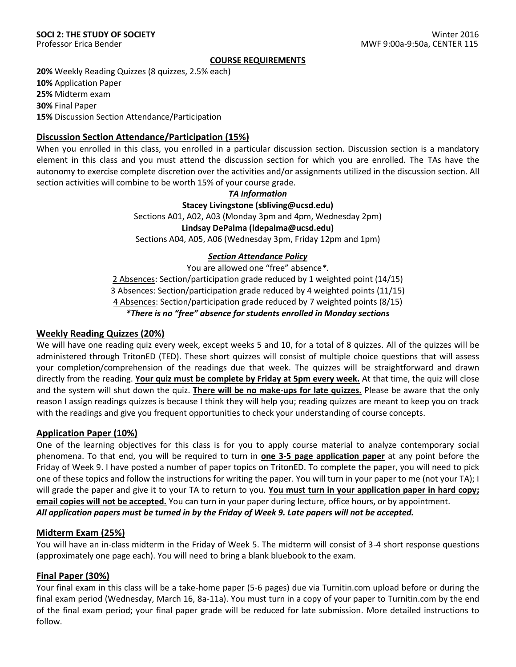#### **COURSE REQUIREMENTS**

**20%** Weekly Reading Quizzes (8 quizzes, 2.5% each) **10%** Application Paper **25%** Midterm exam **30%** Final Paper **15%** Discussion Section Attendance/Participation

## **Discussion Section Attendance/Participation (15%)**

When you enrolled in this class, you enrolled in a particular discussion section. Discussion section is a mandatory element in this class and you must attend the discussion section for which you are enrolled. The TAs have the autonomy to exercise complete discretion over the activities and/or assignments utilized in the discussion section. All section activities will combine to be worth 15% of your course grade.

*TA Information*

**Stacey Livingstone (sbliving@ucsd.edu)**

Sections A01, A02, A03 (Monday 3pm and 4pm, Wednesday 2pm)

**Lindsay DePalma (ldepalma@ucsd.edu)**

Sections A04, A05, A06 (Wednesday 3pm, Friday 12pm and 1pm)

## *Section Attendance Policy*

You are allowed one "free" absence*\**.

2 Absences: Section/participation grade reduced by 1 weighted point (14/15)

3 Absences: Section/participation grade reduced by 4 weighted points (11/15)

4 Absences: Section/participation grade reduced by 7 weighted points (8/15)

*\*There is no "free" absence for students enrolled in Monday sections* 

## **Weekly Reading Quizzes (20%)**

We will have one reading quiz every week, except weeks 5 and 10, for a total of 8 quizzes. All of the quizzes will be administered through TritonED (TED). These short quizzes will consist of multiple choice questions that will assess your completion/comprehension of the readings due that week. The quizzes will be straightforward and drawn directly from the reading. **Your quiz must be complete by Friday at 5pm every week.** At that time, the quiz will close and the system will shut down the quiz. **There will be no make-ups for late quizzes.** Please be aware that the only reason I assign readings quizzes is because I think they will help you; reading quizzes are meant to keep you on track with the readings and give you frequent opportunities to check your understanding of course concepts.

## **Application Paper (10%)**

One of the learning objectives for this class is for you to apply course material to analyze contemporary social phenomena. To that end, you will be required to turn in **one 3-5 page application paper** at any point before the Friday of Week 9. I have posted a number of paper topics on TritonED. To complete the paper, you will need to pick one of these topics and follow the instructions for writing the paper. You will turn in your paper to me (not your TA); I will grade the paper and give it to your TA to return to you. **You must turn in your application paper in hard copy; email copies will not be accepted.** You can turn in your paper during lecture, office hours, or by appointment. *All application papers must be turned in by the Friday of Week 9. Late papers will not be accepted.* 

## **Midterm Exam (25%)**

You will have an in-class midterm in the Friday of Week 5. The midterm will consist of 3-4 short response questions (approximately one page each). You will need to bring a blank bluebook to the exam.

## **Final Paper (30%)**

Your final exam in this class will be a take-home paper (5-6 pages) due via Turnitin.com upload before or during the final exam period (Wednesday, March 16, 8a-11a). You must turn in a copy of your paper to Turnitin.com by the end of the final exam period; your final paper grade will be reduced for late submission. More detailed instructions to follow.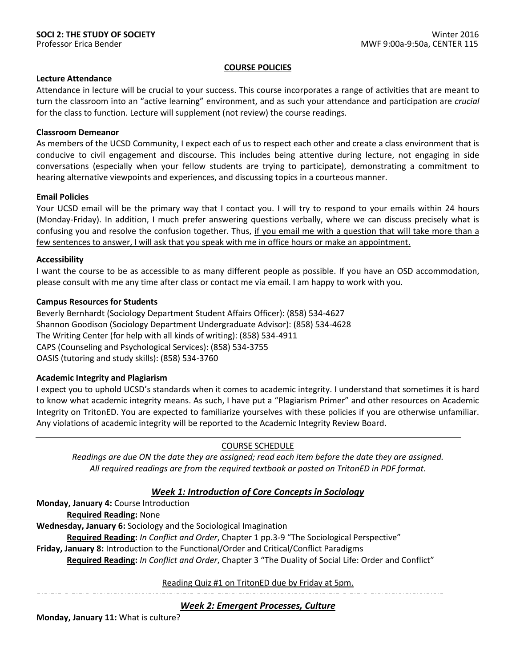#### **COURSE POLICIES**

## **Lecture Attendance**

Attendance in lecture will be crucial to your success. This course incorporates a range of activities that are meant to turn the classroom into an "active learning" environment, and as such your attendance and participation are *crucial*  for the class to function. Lecture will supplement (not review) the course readings.

## **Classroom Demeanor**

As members of the UCSD Community, I expect each of us to respect each other and create a class environment that is conducive to civil engagement and discourse. This includes being attentive during lecture, not engaging in side conversations (especially when your fellow students are trying to participate), demonstrating a commitment to hearing alternative viewpoints and experiences, and discussing topics in a courteous manner.

#### **Email Policies**

Your UCSD email will be the primary way that I contact you. I will try to respond to your emails within 24 hours (Monday-Friday). In addition, I much prefer answering questions verbally, where we can discuss precisely what is confusing you and resolve the confusion together. Thus, if you email me with a question that will take more than a few sentences to answer, I will ask that you speak with me in office hours or make an appointment.

#### **Accessibility**

I want the course to be as accessible to as many different people as possible. If you have an OSD accommodation, please consult with me any time after class or contact me via email. I am happy to work with you.

#### **Campus Resources for Students**

Beverly Bernhardt (Sociology Department Student Affairs Officer): (858) 534-4627 Shannon Goodison (Sociology Department Undergraduate Advisor): (858) 534-4628 The Writing Center (for help with all kinds of writing): (858) 534-4911 CAPS (Counseling and Psychological Services): (858) 534-3755 OASIS (tutoring and study skills): (858) 534-3760

## **Academic Integrity and Plagiarism**

I expect you to uphold UCSD's standards when it comes to academic integrity. I understand that sometimes it is hard to know what academic integrity means. As such, I have put a "Plagiarism Primer" and other resources on Academic Integrity on TritonED. You are expected to familiarize yourselves with these policies if you are otherwise unfamiliar. Any violations of academic integrity will be reported to the Academic Integrity Review Board.

## COURSE SCHEDULE

*Readings are due ON the date they are assigned; read each item before the date they are assigned. All required readings are from the required textbook or posted on TritonED in PDF format.*

## *Week 1: Introduction of Core Concepts in Sociology*

**Monday, January 4:** Course Introduction

**Required Reading:** None

**Wednesday, January 6:** Sociology and the Sociological Imagination

**Required Reading:** *In Conflict and Order*, Chapter 1 pp.3-9 "The Sociological Perspective"

**Friday, January 8:** Introduction to the Functional/Order and Critical/Conflict Paradigms

**Required Reading:** *In Conflict and Order*, Chapter 3 "The Duality of Social Life: Order and Conflict"

Reading Quiz #1 on TritonED due by Friday at 5pm.

*Week 2: Emergent Processes, Culture*

**Monday, January 11:** What is culture?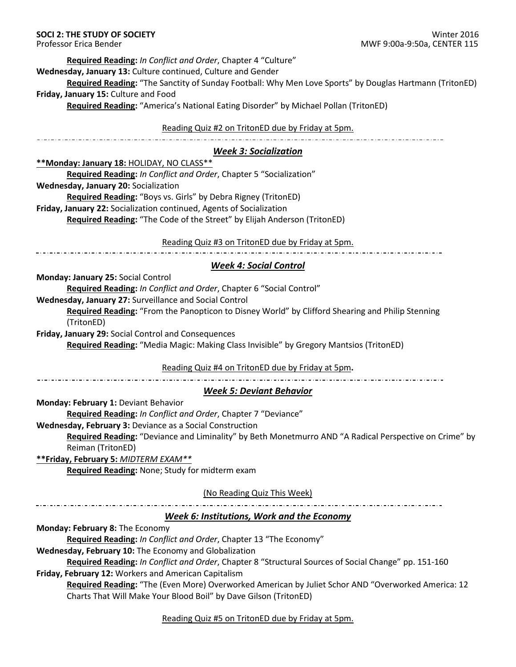**Required Reading:** *In Conflict and Order*, Chapter 4 "Culture"

**Wednesday, January 13:** Culture continued, Culture and Gender

**Required Reading:** "The Sanctity of Sunday Football: Why Men Love Sports" by Douglas Hartmann (TritonED) **Friday, January 15:** Culture and Food

**Required Reading:** "America's National Eating Disorder" by Michael Pollan (TritonED)

## Reading Quiz #2 on TritonED due by Friday at 5pm.

## *Week 3: Socialization*

**\*\*Monday: January 18:** HOLIDAY, NO CLASS\*\*

**Required Reading:** *In Conflict and Order*, Chapter 5 "Socialization" **Wednesday, January 20:** Socialization **Required Reading:** "Boys vs. Girls" by Debra Rigney (TritonED) **Friday, January 22:** Socialization continued, Agents of Socialization

**Required Reading:** "The Code of the Street" by Elijah Anderson (TritonED)

Reading Quiz #3 on TritonED due by Friday at 5pm.

# *Week 4: Social Control*

**Monday: January 25:** Social Control

**Required Reading:** *In Conflict and Order*, Chapter 6 "Social Control"

**Wednesday, January 27:** Surveillance and Social Control

**Required Reading:** "From the Panopticon to Disney World" by Clifford Shearing and Philip Stenning (TritonED)

**Friday, January 29:** Social Control and Consequences

**Required Reading:** "Media Magic: Making Class Invisible" by Gregory Mantsios (TritonED)

Reading Quiz #4 on TritonED due by Friday at 5pm**.**

# *Week 5: Deviant Behavior*

**Monday: February 1:** Deviant Behavior

**Required Reading:** *In Conflict and Order*, Chapter 7 "Deviance"

**Wednesday, February 3:** Deviance as a Social Construction

**Required Reading:** "Deviance and Liminality" by Beth Monetmurro AND "A Radical Perspective on Crime" by Reiman (TritonED)

**\*\*Friday, February 5:** *MIDTERM EXAM\*\** **Required Reading:** None; Study for midterm exam

(No Reading Quiz This Week)

# *Week 6: Institutions, Work and the Economy*

**Monday: February 8:** The Economy

**Required Reading:** *In Conflict and Order*, Chapter 13 "The Economy"

**Wednesday, February 10:** The Economy and Globalization

**Required Reading:** *In Conflict and Order*, Chapter 8 "Structural Sources of Social Change" pp. 151-160 **Friday, February 12:** Workers and American Capitalism

**Required Reading:** "The (Even More) Overworked American by Juliet Schor AND "Overworked America: 12 Charts That Will Make Your Blood Boil" by Dave Gilson (TritonED)

Reading Quiz #5 on TritonED due by Friday at 5pm.